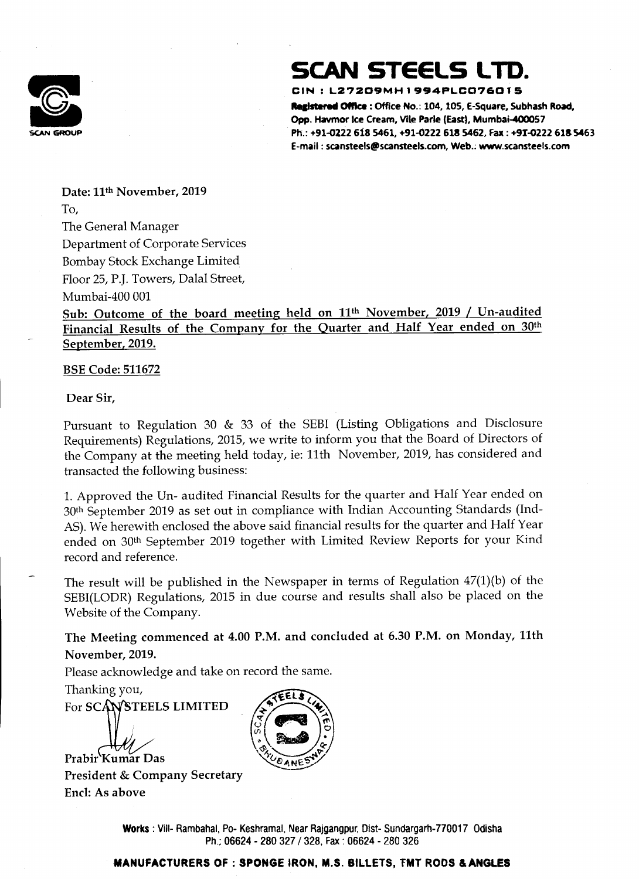

## SCAN STEELS LTD.

### ce CIN : L27209MH1994PLC076015

Registered Office : Office No.: 104, 105, E-Square, Subhash Road, Opp. Havmor ice Cream, Vile Parle (East), Mumbai-400057 SCAN GROUP Ph.: +91-0222 618 5461, +91-0222 618 5462, Fax : 491-0222 618 5463 E-mail : scansteels@scansteels.com, Web.: www.scansteels.com

Date: 11<sup>th</sup> November, 2019 To,

Sub: Outcome of the board meeting held on 11<sup>th</sup> November, 2019 / Un-audited Financial Results of the Company for the Quarter and Half Year ended on 30th September, 2019.

The General Manager Department of Corporate Services Bombay Stock Exchange Limited Floor 25, P.J. Towers, Dalal Street, Mumbai-400 001

BSE Code: 511672

Dear Sir,

÷

Pursuant to Regulation 30 & 33 of the SEBI (Listing Obligations and Disclosure Requirements) Regulations, 2015, we write to inform you that the Board of Directors of the Company at the meeting held today, ie: 11th November, 2019, has considered and transacted the following business:

> shramal, M<br>| - 280 327<br>|<br>| Works : Vill- Rambahal, Po- Keshramal, Near Rajgangpur, Dist- Sundargarh-770017 Odisha Ph.; 06624 - 280 327 / 328, Fax : 06624 - 280 326

1. Approved the Un- audited Financial Results for the quarter and Half Year ended on 30th September 2019 as set out in compliance with Indian Accounting Standards (Ind-AS). We herewith enclosed the above said financial results for the quarter and Half Year ended on 30<sup>th</sup> September 2019 together with Limited Review Reports for your Kind record and reference.

The result will be published in the Newspaper in terms of Regulation 47(1)(b) of the SEBI(LODR) Regulations, 2015 in due course and results shall also be placed on the Website of the Company.

The Meeting commenced at 4.00 P.M. and concluded at 6.30 P.M. on Monday, 11th November, 2019.

Please acknowledge and take on record the same.



CEANES

President & Company Secretary

Encl: As above

### MANUFACTURERS OF : SPONGE !RON, M.S. BILLETS, FMT RODS & ANGLES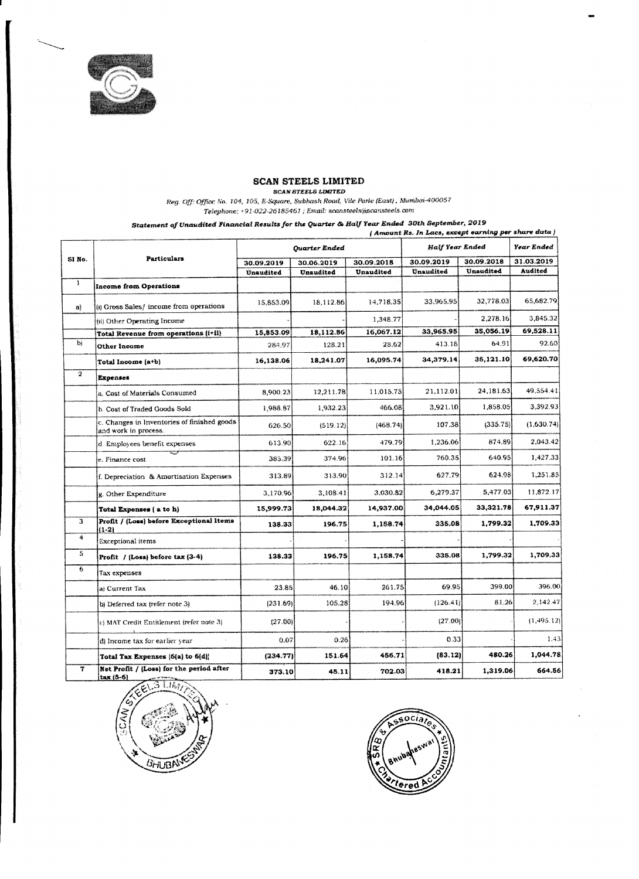

### SCAN STEELS LIMITED

 $\sim 100$ 

 $\sim 10^6$ 

 $\sim 10^7$ 

|                |                                                                                                  |                         | SCAN STEELS LIMITED     | Reg. Off: Office No. 104, 105, E-Square, Subhash Road, Vile Parle (East), Mumbai-400057 |                                                     |                         |                              |
|----------------|--------------------------------------------------------------------------------------------------|-------------------------|-------------------------|-----------------------------------------------------------------------------------------|-----------------------------------------------------|-------------------------|------------------------------|
|                | Statement of Unaudited Financial Results for the Quarter & Half Year Ended  30th September, 2019 |                         |                         | Telephone: +91-022-26185461 ; Email: scansteels@scansteels.com                          | (Amount Rs. In Lacs, except earning per share data) |                         |                              |
|                |                                                                                                  | Quarter Ended           |                         |                                                                                         | Half Year Ended                                     | Year Ended              |                              |
| SINO.          | Particulars                                                                                      | 30.09.2019<br>Unaudited | 30.06.2019<br>Unaudited | 30.09.2018<br>Unaudited                                                                 | 30.09.2019<br>Unaudited                             | 30.09.2018<br>Unaudited | 31.03.2019<br><b>Audited</b> |
|                | Income from Operations                                                                           |                         |                         |                                                                                         |                                                     |                         |                              |
|                |                                                                                                  | 15,853.09               | [18, 112.86]            | 14,718.35                                                                               | 33.965.95                                           | 32,778.03               | 65,682.79                    |
| a)             | [(i) Gross Sales/ income from operations<br>[(ii) Other Operating Income                         |                         |                         | 1,348.77                                                                                |                                                     | 2,278.16                | 3,845.32                     |
|                | Total Revenue from operations (i+ii)                                                             | 15,853.09               | 18,112.86               | 16,067.12                                                                               | 33,965.95                                           | 35,056.19               | 69,528.11                    |
| b)             | Other Income                                                                                     | 284.97                  | 128.21                  | 28.62                                                                                   | 413.18                                              | 64.911                  | 92.60                        |
|                | Total Income (a+b)                                                                               | 16,138.06               | 18,241.07               | 16,095,74                                                                               | 34,379.14                                           | 35,121.10               | 69,620.70                    |
| $\mathbf{2}^-$ | Expenses                                                                                         |                         |                         |                                                                                         |                                                     |                         |                              |
|                | a. Cost of Materials Consumed                                                                    | 8,900.23                | 12,211.78               | 11.015.75                                                                               | [21, 112.01]                                        | 24,181.63               | 49,554.41                    |
|                | [b. Cost of Traded Goods Sold]                                                                   | 1,988.87                | 1,932.23                | 466.08                                                                                  | 3,921,10                                            | 1,858.05                | 3,392.93                     |
|                | [c. Changes in Inventories of finished goods]<br>and work in process.                            | 626.50                  | (519.12)                | (468.74)                                                                                | 107.38                                              | [335.75]                | (1,630.74]                   |
|                | d. Employees benefit expenses                                                                    | 613.90                  | 622.16                  | 479.79                                                                                  | 1,236.06                                            | 874.89                  | 2,043.42                     |
|                | le. Finance cost                                                                                 | 385.39                  | 374.96                  | 101.16                                                                                  | 760.35                                              | 640.95                  | 1,427.33                     |
|                | [f. Depreciation & Amortisation Expenses                                                         | 313.89                  | 313.90                  | 312.14                                                                                  | 627.79                                              | 624.98                  | 1,251.85                     |
|                | g. Other Expenditure                                                                             | 3,170.96                | 3,108.41                | 3,030.82                                                                                | 6,279.37                                            | 5,477.03                | 11,872.17                    |
|                | Total Expenses (a to h)                                                                          | 15,999.73               | 18,044.32               | 14,937.00                                                                               | 34,044.05                                           | 33,321.78               | 67,911.37                    |
| З              | Profit / (Loss) before Exceptional Items                                                         | 138.33                  | 196.75                  | 1,158.74                                                                                | 335.08                                              | 1,799.32                | 1,709.33                     |
| 4              | $(1-2)$<br><b>Exceptional items</b>                                                              |                         |                         |                                                                                         |                                                     |                         |                              |
| S.             | $\left \text{Profit } / \left(\text{Loss}\right)\right $ before tax $\left(3.4\right)$           | 138.33                  | 196.75                  | 1,158.74                                                                                | 335.08                                              | 1,799.32                | 1,709.33                     |
| $\bullet$      | [Tax expenses]                                                                                   |                         |                         |                                                                                         |                                                     |                         |                              |
|                | la) Current Tax                                                                                  | 23.85                   | 46.10                   | 261.75                                                                                  | 69.95                                               | 399,00                  | 396.00                       |
|                | $ {\rm b} $ Deferred tax (refer note $3 $                                                        | [231.69]                | 105.28                  | 194.96                                                                                  | [126.41]                                            | 81.26                   | [2,142.47]                   |
|                | [c] MAT Credit Entitlement (refer note 3)                                                        | (27.00)                 |                         |                                                                                         | (27.00)                                             |                         | [1,495.12]                   |
|                | [d] Income tax for earlier year.                                                                 | 0.07                    | 0.26                    |                                                                                         | 0.33                                                |                         | 1.43                         |
|                | Total Tax Expenses {6{a} to 6{d}}                                                                | [234.77]                | 151.64                  | 456.71                                                                                  | [83.12]                                             | 480.26                  | 1,044.78                     |
|                | Net Profit $/$ (Loss) for the period after                                                       | 373.10                  | 45.11                   | 702.03                                                                                  | 418.21                                              | 1,319.06                | 664.56                       |

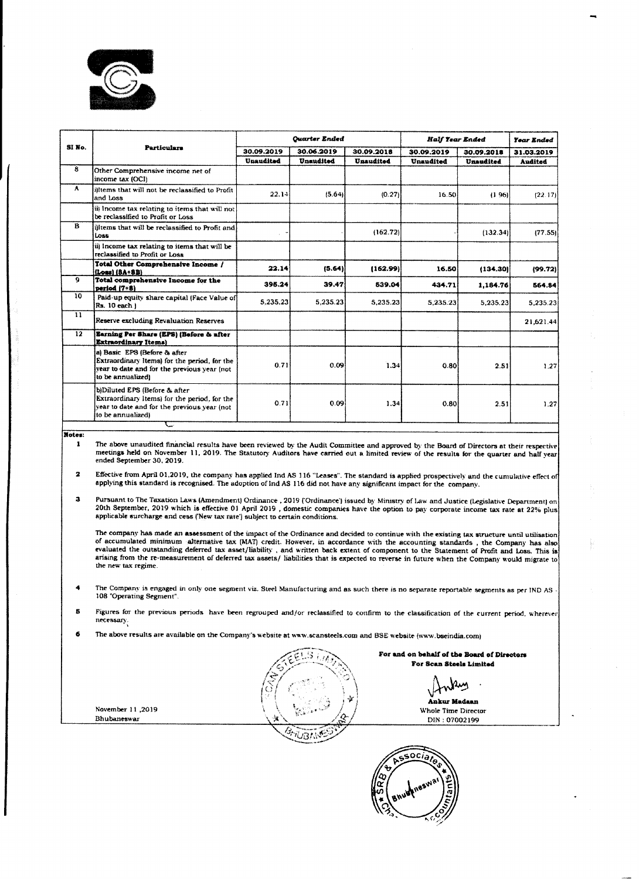

|               | المتوافق والمتحدث والمتعاون والمتواد والمتحدث والمستعار والمستحدث والمستحدث والمستحدث والمستحدث والمتحدث والأسار                                         |               |            |            |                 |            |            |  |
|---------------|----------------------------------------------------------------------------------------------------------------------------------------------------------|---------------|------------|------------|-----------------|------------|------------|--|
|               |                                                                                                                                                          |               |            |            |                 |            |            |  |
|               |                                                                                                                                                          |               |            |            |                 |            |            |  |
|               |                                                                                                                                                          |               |            |            |                 |            |            |  |
|               |                                                                                                                                                          |               |            |            |                 |            |            |  |
|               |                                                                                                                                                          |               |            |            |                 |            |            |  |
|               |                                                                                                                                                          |               |            |            |                 |            |            |  |
|               |                                                                                                                                                          |               |            |            |                 |            |            |  |
|               |                                                                                                                                                          |               |            |            |                 |            |            |  |
|               |                                                                                                                                                          |               |            |            |                 |            |            |  |
|               |                                                                                                                                                          |               |            |            |                 |            |            |  |
| SINo.         | Particulars                                                                                                                                              | Quarter Ended |            |            | Half Year Ended |            | Year Ended |  |
|               |                                                                                                                                                          | 30.09.2019    | 30.06.2019 | 30.09.2018 | 30.09.2019      | 30.09.2018 | 31.03.2019 |  |
| 8             | Other Comprehensive income net of<br>$ $ income tax $[OCI]$                                                                                              | Unaudited     | Unaudited  | Unaudited  | Unaudited       | Unaudited  | Audited    |  |
| A.            | differms that will not be reclassified to Profit<br>and Loss                                                                                             | [22.14]       | (5.64)     | (0.27)     | 16.50           | (196)      | [22.17]    |  |
|               | (iii) Income tax relating to items that will not<br>be reclassified to Profit or Loss                                                                    |               |            |            |                 |            |            |  |
| $\mathbf{B}$  | [i] items that will be reclassified to Profit and<br>LOSS.                                                                                               |               |            | (162.72)   |                 | (132.34)   | (77.55)    |  |
|               | (ii) Income tax relating to items that will be<br>reclassified to Profit or Loss                                                                         |               |            |            |                 |            |            |  |
|               | Total Other Comprehensive Income /<br>$[[Loss] (BA+BB)]$                                                                                                 | 22.14         | (5.64)     | (162.99)   | 16.50           | (134.30)   | [99.72]    |  |
| 9             | Total comprehensive Income for the<br>$pertod(7+8)$                                                                                                      | 395.24        | 39.47      | 539.04     | 434.71          | 1,184.76   | 564.84     |  |
| 10            | Paid-up equity share capital (Face Value of<br>$\left \mathsf{Rs.}\right.$ 10 each $\left \right.$                                                       | 5,235.23      | 5,235,23   | 5,235.23   | 5,235,23        | 5,235,23   | 5,235.23   |  |
| $\mathbf{11}$ | <b>Reserve excluding Revaluation Reserves</b>                                                                                                            |               |            |            |                 |            | 21,621.44  |  |
| $\mathbf{12}$ | Earning Per Share (EPS) (Before & after<br><b>Extraordinary Items</b> )                                                                                  |               |            |            |                 |            |            |  |
|               | [a] Basic EPS (Before & after<br><b>Extraordinary Items)</b> for the period, for the<br>year to date and for the previous year (not<br>to be annualized) | 0.71          | 0.09       | 1.34       | 0.80            | 2.51       | 1.27       |  |
|               | (b)Diluted EPS (Before & after<br>Extraordinary Items) for the period, for the<br>year to date and for the previous year (not<br>to be annualized)       | 0.71          | 0.09       | 1.34]      | 0.80            | 2.51       | 1.27       |  |

The above unaudited financial results have been reviewed by the Audit Committee and approved by the Board of Directors at their respective meetings held on November 11, 2019, The Statutory Auditors have carried out a limited review of the results for the quarter and half year ended September 30, 2619.

- 2 Effective from April 01,2019, the company has applied Ind AS 116 "Leases". The standard is applied prospectively and the cumulative effect of applying this standard is recognised. The adoption of Ind AS 116 did not have any significant impact for the company.
- 3 Pursuant to The Taxation Laws (Amendment) Ordinance , 2019 (Ordinance) issued by Ministry of Law and Justice (Legislative Department) an 20th September, 2019 which is effective 01 April 2019 , domestic companies have the option to pay corporate income tax rate at 22% plus applicable surcharge and cess (New tax rate) subject to certain conditions.

The company has made an assessment of the impact of the Ordinance and decided to continue with the existing tax structure until utilisation of accumulated minimum alternative tax. (MAT) credit. However, in accordance with the accounting standards , the Company has also evaluated the outstanding deferred tax asset/liability . and written back extent of component to the Statement of Profit and Loss. This is arising from the re-measurement of deferred tax assets/ liabilities that is expected to reverse in future when the Company would migrate to the new tax regime.

- The Company is engaged in only one segment viz. Steel Manufacturing and as such there is no separate reportable segments as per IND AS 108 "Operating Segment'.
- Figures for the previous periods have been regrouped and/or reclassified to confirm to the classification of the current period, wherever 5 necessary. .
- 6 The above results are available on the Company's website at www.scansteels.com and BSE website (www. bseindia.com}

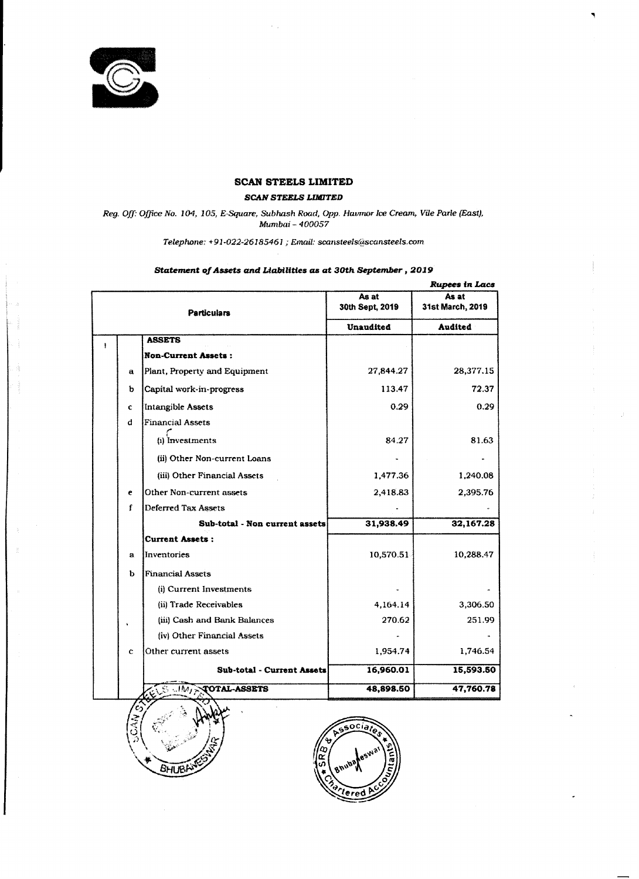



 $\mathbf{r} = \mathbf{r} \times \mathbf{r}$ 

 $\mathbf{1}$ 

 $\left\{ \begin{array}{cc} 0 & 0 \\ 0 & 0 \end{array} \right\}$ 

and the con-

## SCAN STEELS LIMITED

 $\langle \mathcal{N} \rangle$  ,  $\langle \mathcal{N} \rangle$ 

Reg. Off: Office No. 104, 105, E-Square, Subhash Road, Opp. Haumor Ice Cream, Vile Parle (East), Mumbai -- 400057

### SCAN STEELS LIMITED

### Statement of Assets and Liabilities as at 30th September , 2019

◥

 $\sim 10^{11}$  m  $^{-1}$ 

 $\sim 10^{11}$  km s  $^{-1}$ 

 $\sigma_{\rm c}$ 

 $\blacktriangle$ 

 $\mathbf{r}$ 

|             |                                |                          | <b>Rupees in Lacs</b>                |  |
|-------------|--------------------------------|--------------------------|--------------------------------------|--|
|             | <b>Particulars</b>             | As at<br>30th Sept, 2019 | As at<br>31st March, 2019<br>Audited |  |
|             |                                | <b>Unaudited</b>         |                                      |  |
|             | <b>ASSETS</b>                  |                          |                                      |  |
|             | Non-Current Assets:            |                          |                                      |  |
| $\mathbf a$ | Plant, Property and Equipment  | 27,844.27                | 28,377.15                            |  |
| $\mathbf b$ | Capital work-in-progress       | 113.47                   | 72.37                                |  |
| ¢           | Intangible Assets              | 0.29                     | 0.29                                 |  |
| đ           | <b>Financial Assets</b>        |                          |                                      |  |
|             | $\mathbf{u}$<br>Investments    | 84.27                    | 81.63                                |  |
|             | (ii) Other Non-current Loans   | $\bullet$                |                                      |  |
|             | (iii) Other Financial Assets   | 1,477.36                 | 1,240.08                             |  |
| e           | Other Non-current assets       | 2,418.83                 | 2,395.76                             |  |
|             | Deferred Tax Assets            |                          |                                      |  |
|             | Sub-total - Non current assets | 31,938.49                | 32,167.28                            |  |
|             | Current Assets:                |                          |                                      |  |
| a           | Inventories                    | 10,570.51                | 10,288.47                            |  |
| $\mathbf b$ | <b>Financial Assets</b>        |                          |                                      |  |
|             | (i) Current Investments        | $\bullet$                |                                      |  |
|             | (ii) Trade Receivables         | 4,164.14                 | 3,306.50                             |  |
|             | (iii) Cash and Bank Balances   | 270.62                   | 251.99                               |  |
|             | (iv) Other Financial Assets    | $\bullet$                | $\sim$                               |  |
| $\mathbf C$ | Other current assets           | 1,954.74                 | 1,746.54                             |  |
|             | Sub-total - Current Assets     | 16,960.01                | 15,593.50                            |  |

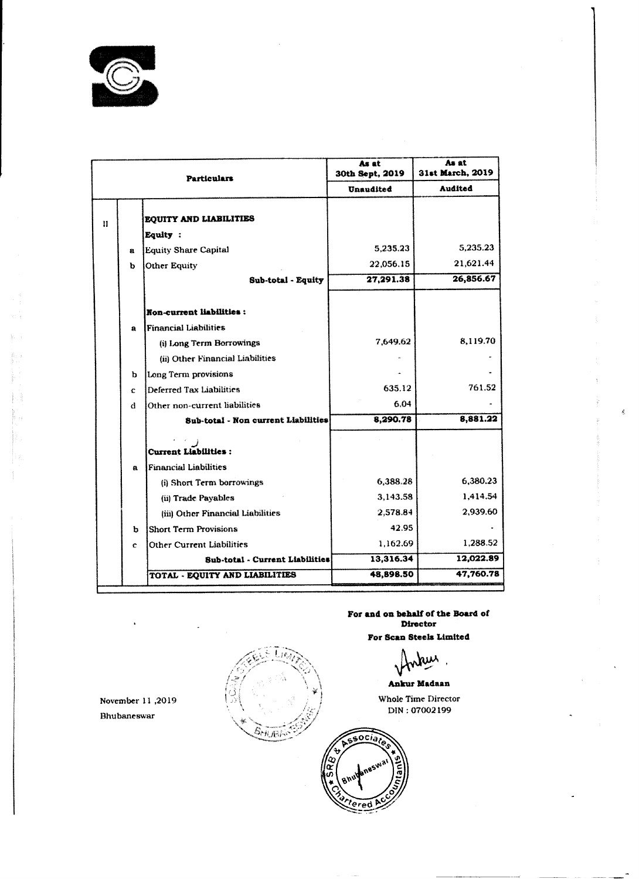

# Particular<br>
II<br>
EQUITY AND LIABII<br>
Equity :<br>
a Equity Share Capital<br>
b Other Equity As at As at<br>30th Sept, 2019 31st March, 31st March, 2019 Audited Unaudited  $\begin{array}{|c|} \hline \textbf{U} \textbf{n} \textbf{I} \textbf{I} \textbf{I} \textbf{I} \textbf{I} \textbf{I} \textbf{I} \textbf{I} \textbf{I} \textbf{I} \textbf{I} \textbf{I} \textbf{I} \textbf{I} \textbf{I} \textbf{I} \textbf{I} \textbf{I} \textbf{I} \textbf{I} \textbf{I} \textbf{I} \textbf{I} \textbf{I} \textbf{I} \textbf{I} \textbf{I} \textbf{I} \textbf{I} \textbf{I} \textbf{I} \textbf{I} \textbf{I$ EQUITY AND LIABILITIES

 $\sim 10^{-10}$ 

 $\frac{1}{2} \frac{1}{2} \frac{1}{2}$ 

 $\sim 10^{-11}$ 

 $\sim 10^{-1}$ 

 $\sim 10^{-1}$  $\sim 2\, \rm{km}$ 

繁。

 $\sim$ 

 $\bullet$ 

 $\mathcal{L}_{\mathcal{L}}$ 

November 11,2019<br>Bhubaneswar<br>Children and Children and Children and Children and Children and Children and Children and Children and Children<br>Children and Children and Children and Children and Children and Children and Ch November 11 ,2019

|                   |              | <b>Particulars</b>                     | 30th Sept, 2019 | 31st March, 2019 |
|-------------------|--------------|----------------------------------------|-----------------|------------------|
|                   |              |                                        | Unaudited       | Audited          |
| $\prod_{i=1}^{n}$ |              | EQUITY AND LIABILITIES                 |                 |                  |
|                   |              | Equity                                 |                 |                  |
|                   | $\mathbf{a}$ | <b>Equity Share Capital</b>            | 5,235.23        | 5,235.23         |
|                   | $\mathbf b$  | Other Equity                           | 22,056.15       | 21,621.44        |
|                   |              | Sub-total - Equity                     | 27,291.38       | 26,856.67        |
|                   |              | Non-current liabilities :              |                 |                  |
|                   | $\mathbf a$  | [Financial Liabilities]                |                 |                  |
|                   |              | (i) Long Term Borrowings               | 7,649.62        | 8,119.70         |
|                   |              | (ii) Other Financial Liabilities       | $\sim$          |                  |
|                   | $\mathbf{p}$ | Long Term provisions                   | $\sim$          |                  |
|                   | C            | <b>Deferred Tax Liabilities</b>        | 635.12          | 761,52           |
|                   | đ            | Other non-current liabilities          | 6.04            |                  |
|                   |              | Sub-total - Non current Liabilities    | 8,290.78        | 8,881.22         |
|                   |              | Current Liabilities :                  |                 |                  |
|                   | $\mathbf a$  | <b>Financial Liabilities</b>           |                 |                  |
|                   |              | (i) Short Term borrowings              | 6,388.28        | 6,380.23         |
|                   |              | (ii) Trade Payables                    | 3,143.58        | 1,414.54         |
|                   |              | (iii) Other Financial Liabilities      | 2,578.84        | 2,939.60         |
|                   | b            | <b>Short Term Provisions</b>           | 42.95           |                  |
|                   | $\mathbf c$  | Other Current Liabilities              | 1,162.69        | 1,288.52         |
|                   |              | <b>Sub-total - Current Liabilities</b> | 13,316.34       | 12,022.89        |
|                   |              | TOTAL - EQUITY AND LIABILITIES         | 48,898.50       | 47,760.78        |



For and on behalf of the Board of . - Director

For Scan Stecis Limited

<u>Mary 1</u>

### Ankur Madaan

Whole Time Director DIN : 07002199

### Bhubaneswar

aereretti internemutment etterna yrent etterna yrent eer reertrammene etter etter etter etter etter etter ette<br>Internetti internemnetti internetti etter etter etter etter etter etter etter etter etter etter etter etter et

 $\sim 10^6$ 

 $\mathbb{R}^n \times \mathbb{R}$ 

 $\sim 30\%$ 

 $\begin{aligned} \frac{1}{\sqrt{2}}\sum_{i=1}^{n-1}\frac{1}{\sqrt{2}}\left(\frac{1}{\sqrt{2}}\right)^{i}\frac{1}{\sqrt{2}}\left(\frac{1}{\sqrt{2}}\right)^{i}\frac{1}{\sqrt{2}}\left(\frac{1}{\sqrt{2}}\right)^{i}\frac{1}{\sqrt{2}}\left(\frac{1}{\sqrt{2}}\right)^{i}\frac{1}{\sqrt{2}}\left(\frac{1}{\sqrt{2}}\right)^{i}\frac{1}{\sqrt{2}}\frac{1}{\sqrt{2}}\frac{1}{\sqrt{2}}\frac{1}{\sqrt{2}}\frac{1}{\sqrt{2}}\frac{1}{\sqrt{2$ 

 $\sum_{i=1}^n \sum_{j=1}^n \alpha_{ij} \in \mathcal{A}$  .

 $\begin{bmatrix} 1 & 0 & 0 \\ 0 & 0 & 0 \\ 0 & 0 & 0 \\ 0 & 0 & 0 \\ 0 & 0 & 0 \\ 0 & 0 & 0 \\ 0 & 0 & 0 \\ 0 & 0 & 0 \\ 0 & 0 & 0 \\ 0 & 0 & 0 \\ 0 & 0 & 0 \\ 0 & 0 & 0 & 0 \\ 0 & 0 & 0 & 0 \\ 0 & 0 & 0 & 0 \\ 0 & 0 & 0 & 0 & 0 \\ 0 & 0 & 0 & 0 & 0 \\ 0 & 0 & 0 & 0 & 0 \\ 0 & 0 & 0 & 0 & 0 \\ 0 & 0 & 0 & 0 & 0 \\ 0 &$ 

BX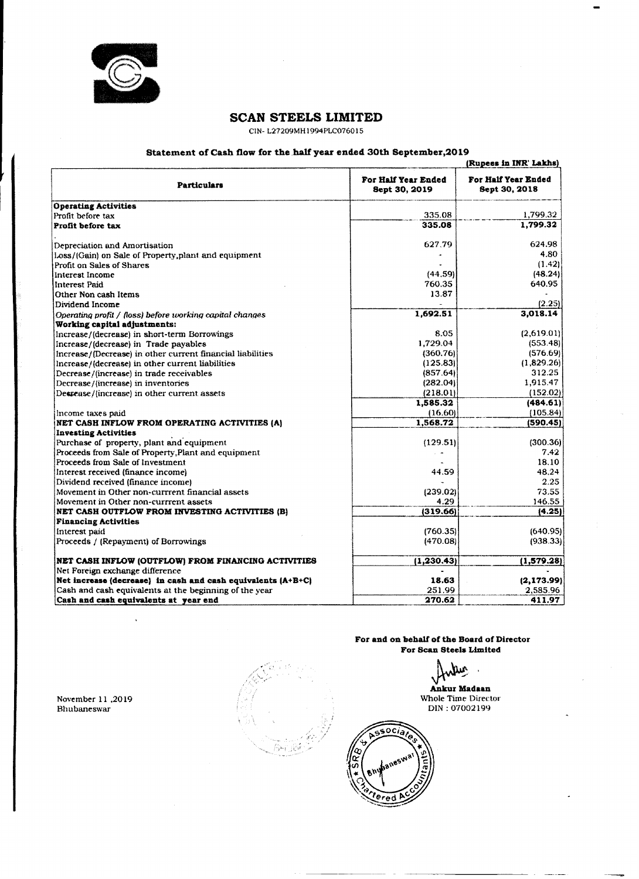

### SCAN STEELS LIMITED

## Statement of Cash flow for the half year ended 30th September,2019  $\frac{1}{\sqrt{1-\frac{1}{2}}\sqrt{1-\frac{1}{2}}\left(\frac{1}{2}-\frac{1}{2}\right)}$

| SCAN STEELS LIMITED                                                                                                      |                      |                                              |  |  |
|--------------------------------------------------------------------------------------------------------------------------|----------------------|----------------------------------------------|--|--|
|                                                                                                                          |                      |                                              |  |  |
|                                                                                                                          |                      |                                              |  |  |
|                                                                                                                          |                      |                                              |  |  |
|                                                                                                                          |                      |                                              |  |  |
|                                                                                                                          |                      |                                              |  |  |
|                                                                                                                          |                      |                                              |  |  |
|                                                                                                                          |                      |                                              |  |  |
|                                                                                                                          |                      |                                              |  |  |
|                                                                                                                          |                      |                                              |  |  |
|                                                                                                                          |                      |                                              |  |  |
|                                                                                                                          |                      |                                              |  |  |
| CIN-L27209MH1994PLC076015                                                                                                |                      |                                              |  |  |
|                                                                                                                          |                      |                                              |  |  |
| Statement of Cash flow for the half year ended 30th September, 2019                                                      |                      | (Rupees in INR' Lakhs)                       |  |  |
|                                                                                                                          | For Half Year Ended  | For Half Year Ended                          |  |  |
| <b>Particulars</b>                                                                                                       | Sept 30, 2019        | Sept 30, 2018                                |  |  |
| <b>Operating Activities</b>                                                                                              |                      |                                              |  |  |
| Profit before tax                                                                                                        | 335.08               | 1,799.32                                     |  |  |
| <b>Profit before tax</b>                                                                                                 | 335.08               | 1,799.32                                     |  |  |
| Depreciation and Amortisation                                                                                            | 627.79               | 624.98                                       |  |  |
| [Loss/(Gain) on Sale of Property, plant and equipment                                                                    | $\sim$               | 4.80<br>(1.42)                               |  |  |
| <b>Profit on Sales of Shares</b><br>Interest Income                                                                      | (44.59)              | (48.24)                                      |  |  |
| Hnterest Paid                                                                                                            | 760.35               | 640.95                                       |  |  |
| Other Non cash Items                                                                                                     | 13.87                | (2.25)                                       |  |  |
| Dividend Income<br>$\Omega$ Operating profit / (loss) before working capital changes                                     | 1,692.51             | 3,018.14                                     |  |  |
| <b>Working capital adjustments:</b>                                                                                      |                      |                                              |  |  |
| [Increase/(decrease) in short-term Borrowings                                                                            | 8.05                 | (2,619.01)                                   |  |  |
| Increase/(decrease) in Trade payables<br>Increase/(Decrease) in other current financial liabilities                      | 1,729.04<br>(360.76) | (553.48)<br>(576.69)                         |  |  |
| Increase/(decrease) in other current liabilities                                                                         | (125.83)             | (1,829.26)                                   |  |  |
| Decrease/(increase) in trade receivables                                                                                 | (857.64)             | 312.25                                       |  |  |
| Decrease/(increase) in inventories<br>Desrease/(increase) in other current assets                                        | (282.04)<br>(218.01) | 1,915.47<br>(152.02)                         |  |  |
|                                                                                                                          | 1,585.32             | (484.61)                                     |  |  |
| {lincome taxes paid}                                                                                                     | (16.60)              | $\left\vert 105.84\right\rangle \right\vert$ |  |  |
| NET CASH INFLOW FROM OPERATING ACTIVITIES (A)                                                                            | 1,568.72             | (590.45)                                     |  |  |
| <b>Investing Activities</b><br>Purchase of property, plant and equipment                                                 | (129.51)             | (300.36)                                     |  |  |
| Proceeds from Sale of Property, Plant and equipment                                                                      |                      | 7.42                                         |  |  |
| Proceeds from Sale of Investment                                                                                         |                      | 18.10                                        |  |  |
| Interest received (finance income)                                                                                       | 44.59                | 48.24                                        |  |  |
| (Dividend received (finance income)<br>Movement in Other non-currrent financial assets                                   | (239.02)             | 2.25<br>73.55                                |  |  |
| Movement in Other non-current assets                                                                                     | 4.29                 | 146.55                                       |  |  |
| NET CASH OUTFLOW FROM INVESTING ACTIVITIES (B)                                                                           | (319.66)             | (4.25)                                       |  |  |
| <b>Financing Activities</b>                                                                                              |                      |                                              |  |  |
| Interest paid                                                                                                            | (760.35)             | (640.95)                                     |  |  |
| Proceeds / (Repayment) of Borrowings                                                                                     | (470.08)             | (938.33)                                     |  |  |
| NET CASH INFLOW (OUTFLOW) FROM FINANCING ACTIVITIES                                                                      | (1, 230.43)          | (1,579.28)                                   |  |  |
| Net Foreign exchange difference                                                                                          |                      |                                              |  |  |
| Net increase (decrease) in cash and cash equivalents $(A+B+C)$<br>Cash and cash equivalents at the beginning of the year | 18.63<br>251.99      | (2, 173.99)<br>2,585.96                      |  |  |
|                                                                                                                          |                      |                                              |  |  |

 $\ddot{\phantom{a}}$ 

 $\mathcal{L}$ 

 $\sim$ 

 $\bullet$ 

November 11 ,2019 Bhubaneswar

 $\ddot{\phantom{1}}$ 



For and on behalf of the Board of Director



For Scan Steels Limited

h. Ker

## Ankur Madaan

Whole Time Director DIN : 07002199